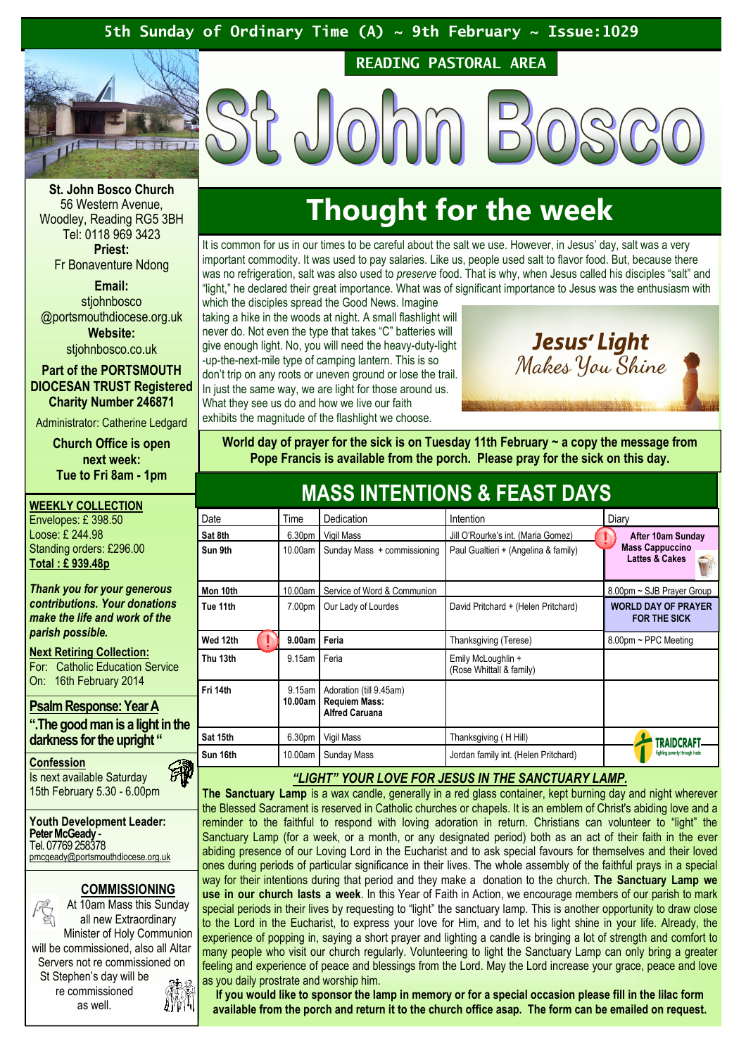# 5th Sunday of Ordinary Time (A)  $\sim$  9th February  $\sim$  Issue:1029



READING PASTORAL AREA

St. John Bosco Church 56 Western Avenue, Woodley, Reading RG5 3BH Tel: 0118 969 3423 Priest:

Fr Bonaventure Ndong

Email: stjohnbosco @portsmouthdiocese.org.uk Website:

stjohnbosco.co.uk

Part of the PORTSMOUTH DIOCESAN TRUST Registered Charity Number 246871

Administrator: Catherine Ledgard

Church Office is open next week: Tue to Fri 8am - 1pm

WEEKLY COLLECTION Envelopes: £ 398.50 Loose: £ 244.98 Standing orders: £296.00 Total : £ 939.48p

Thank you for your generous contributions. Your donations make the life and work of the parish possible.

**Next Retiring Collection:** For: Catholic Education Service On: 16th February 2014

# Psalm Response: Year A

".The good man is a light in the darkness for the upright "

汤

**Confession** Is next available Saturday 15th February 5.30 - 6.00pm

Youth Development Leader: Peter McGeady -Tel. 07769 258378 pmcgeady@portsmouthdiocese.org.uk

# COMMISSIONING



re commissioned as well.

# Thought for the week

It is common for us in our times to be careful about the salt we use. However, in Jesus' day, salt was a very important commodity. It was used to pay salaries. Like us, people used salt to flavor food. But, because there was no refrigeration, salt was also used to preserve food. That is why, when Jesus called his disciples "salt" and "light," he declared their great importance. What was of significant importance to Jesus was the enthusiasm with

which the disciples spread the Good News. Imagine taking a hike in the woods at night. A small flashlight will never do. Not even the type that takes "C" batteries will give enough light. No, you will need the heavy-duty-light -up-the-next-mile type of camping lantern. This is so don't trip on any roots or uneven ground or lose the trail. In just the same way, we are light for those around us. What they see us do and how we live our faith exhibits the magnitude of the flashlight we choose.

Jesus' Light Makes You Shine

World day of prayer for the sick is on Tuesday 11th February  $\sim$  a copy the message from Pope Francis is available from the porch. Please pray for the sick on this day.

MASS INTENTIONS & FEAST DAVS

| MAJJ IN LINTIUNJ & LAJI DATJ |                    |                                                                          |                                                |                                                     |
|------------------------------|--------------------|--------------------------------------------------------------------------|------------------------------------------------|-----------------------------------------------------|
| Date                         | Time               | Dedication                                                               | Intention                                      | Diary                                               |
| Sat 8th                      | 6.30 <sub>pm</sub> | Vigil Mass                                                               | Jill O'Rourke's int. (Maria Gomez)             | After 10am Sunday                                   |
| Sun 9th                      | 10.00am            | Sunday Mass + commissioning                                              | Paul Gualtieri + (Angelina & family)           | <b>Mass Cappuccino</b><br><b>Lattes &amp; Cakes</b> |
| Mon 10th                     | 10.00am            | Service of Word & Communion                                              |                                                | 8.00pm ~ SJB Prayer Group                           |
| Tue 11th                     | 7.00pm             | Our Lady of Lourdes                                                      | David Pritchard + (Helen Pritchard)            | <b>WORLD DAY OF PRAYER</b><br><b>FOR THE SICK</b>   |
| Wed 12th                     | 9.00am             | Feria                                                                    | Thanksgiving (Terese)                          | $8.00$ pm ~ PPC Meeting                             |
| Thu 13th                     | 9.15am             | Feria                                                                    | Emily McLoughlin +<br>(Rose Whittall & family) |                                                     |
| Fri 14th                     | 9.15am<br>10.00am  | Adoration (till 9.45am)<br><b>Requiem Mass:</b><br><b>Alfred Caruana</b> |                                                |                                                     |
| Sat 15th                     | 6.30pm             | Vigil Mass                                                               | Thanksgiving (HHill)                           | TRAIDCH                                             |
| Sun 16th                     | 10.00am            | Sunday Mass                                                              | Jordan family int. (Helen Pritchard)           | Fighting poverty through trade                      |

# "LIGHT" YOUR LOVE FOR JESUS IN THE SANCTUARY LAMP.

The Sanctuary Lamp is a wax candle, generally in a red glass container, kept burning day and night wherever the Blessed Sacrament is reserved in Catholic churches or chapels. It is an emblem of Christ's abiding love and a reminder to the faithful to respond with loving adoration in return. Christians can volunteer to "light" the Sanctuary Lamp (for a week, or a month, or any designated period) both as an act of their faith in the ever abiding presence of our Loving Lord in the Eucharist and to ask special favours for themselves and their loved ones during periods of particular significance in their lives. The whole assembly of the faithful prays in a special way for their intentions during that period and they make a donation to the church. The Sanctuary Lamp we use in our church lasts a week. In this Year of Faith in Action, we encourage members of our parish to mark special periods in their lives by requesting to "light" the sanctuary lamp. This is another opportunity to draw close to the Lord in the Eucharist, to express your love for Him, and to let his light shine in your life. Already, the experience of popping in, saying a short prayer and lighting a candle is bringing a lot of strength and comfort to many people who visit our church regularly. Volunteering to light the Sanctuary Lamp can only bring a greater feeling and experience of peace and blessings from the Lord. May the Lord increase your grace, peace and love as you daily prostrate and worship him.

If you would like to sponsor the lamp in memory or for a special occasion please fill in the lilac form available from the porch and return it to the church office asap. The form can be emailed on request.